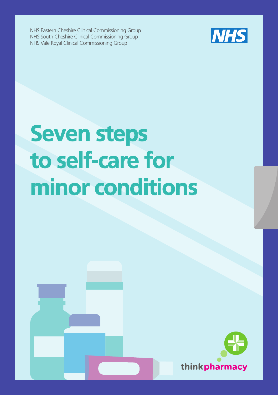NHS Eastern Cheshire Clinical Commissioning Group NHS South Cheshire Clinical Commissioning Group NHS Vale Royal Clinical Commissioning Group



# **Seven steps to self-care for minor conditions**

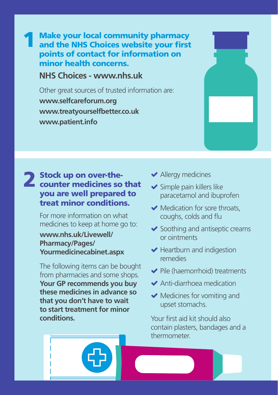**Make your local community pharmacy and the Make your local community pharmacy and relations of the state of the state of the state of the state of the state of the state of the state of the state of the state of the state of the state of the state of the state of** and the NHS Choices website your first **www.nhs.uk/Livewell/Pharmacy/Pages/Commonconditions.** points of contact for information on

**NHS Choices - www.nhs.uk** 

1

Other great sources of trusted information are: **www.patient.info www.selfcareforum.org www.treatyourselfbetter.co.uk www.patient.info**

## 2 Stock up on over-the-<br>counter medicines so that you are well prepared to treat minor conditions.

For more information on what medicines to keep at home go to:

#### **www.nhs.uk/Livewell/ Pharmacy/Pages/ Yourmedicinecabinet.aspx**

The following items can be bought from pharmacies and some shops. **Your GP recommends you buy these medicines in advance so that you don't have to wait to start treatment for minor conditions.**

- ◆ Allergy medicines
- ◆ Simple pain killers like paracetamol and ibuprofen
- $\blacktriangleright$  Medication for sore throats, coughs, colds and flu
- $\blacktriangleright$  Soothing and antiseptic creams or ointments
- $\blacktriangleright$  Heartburn and indigestion remedies
- $\blacktriangleright$  Pile (haemorrhoid) treatments
- Anti-diarrhoea medication
- $\blacktriangleright$  Medicines for vomiting and upset stomachs.

Your first aid kit should also contain plasters, bandages and a thermometer.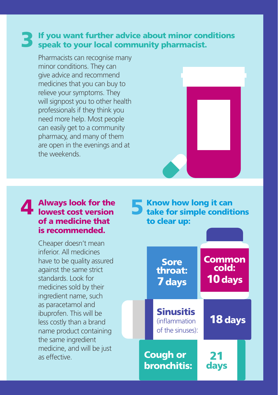### **3** If you want further advice about minor conditions speak to your local community pharmacist. speak to your local community pharmacist.

Pharmacists can recognise many minor conditions. They can give advice and recommend medicines that you can buy to relieve your symptoms. They will signpost you to other health professionals if they think you need more help. Most people can easily get to a community pharmacy, and many of them are open in the evenings and at the weekends.

#### Always look for the 4 Always look for the 5 of a medicine that is recommended.

Cheaper doesn't mean inferior. All medicines have to be quality assured against the same strict standards. Look for medicines sold by their ingredient name, such as paracetamol and ibuprofen. This will be less costly than a brand name product containing the same ingredient medicine, and will be just as effective.

Know how long it can take for simple conditions to clear up:

> **Sinusitis** (inflammation of the sinuses):

Cough or bronchitis:

**Sore** throat: 7days

**Common** cold: 10days

18 days

21 days